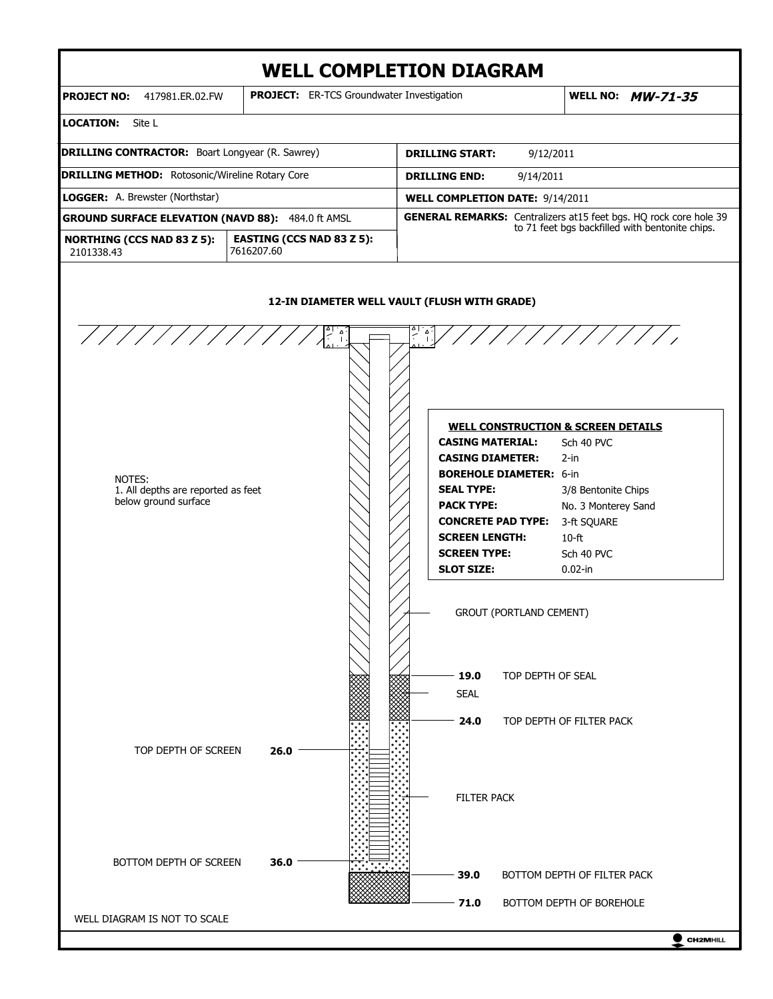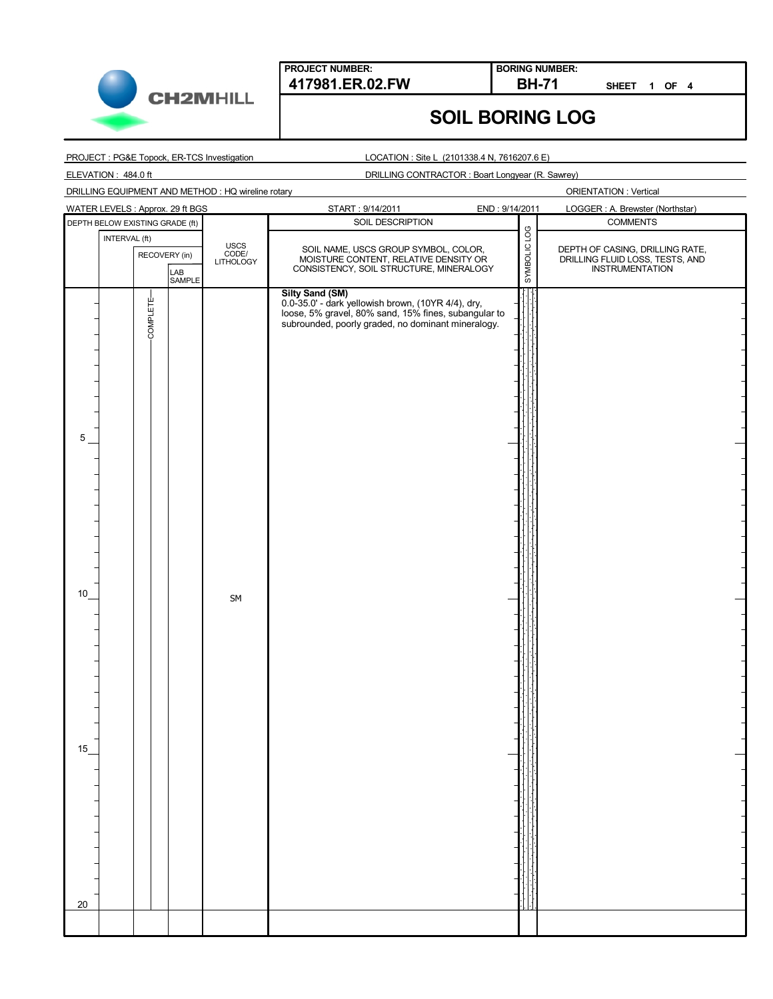

**BORING NUMBER:**

**SHEET 1 OF 4**

## **SOIL BORING LOG**

PROJECT : PG&E Topock, ER-TCS Investigation

LOCATION : Site L (2101338.4 N, 7616207.6 E)

ELEVATION : 484.0 ft

DRILLING CONTRACTOR : Boart Longyear (R. Sawrey)

DRILLING EQUIPMENT AND METHOD : HQ wireline rotary

|                                 |               |               | WATER LEVELS : Approx. 29 ft BGS |                            | START: 9/14/2011                                                                                                                                                 | END: 9/14/2011 | LOGGER : A. Brewster (Northstar)                   |
|---------------------------------|---------------|---------------|----------------------------------|----------------------------|------------------------------------------------------------------------------------------------------------------------------------------------------------------|----------------|----------------------------------------------------|
| DEPTH BELOW EXISTING GRADE (ft) |               |               |                                  |                            | SOIL DESCRIPTION                                                                                                                                                 |                | <b>COMMENTS</b>                                    |
|                                 | INTERVAL (ft) |               |                                  |                            |                                                                                                                                                                  | SYMBOLIC LOG   |                                                    |
|                                 |               | RECOVERY (in) |                                  | USCS<br>CODE/<br>LITHOLOGY |                                                                                                                                                                  |                | DEPTH OF CASING, DRILLING RATE,                    |
|                                 |               |               |                                  |                            | SOIL NAME, USCS GROUP SYMBOL, COLOR,<br>MOISTURE CONTENT, RELATIVE DENSITY OR<br>CONSISTENCY, SOIL STRUCTURE, MINERALOGY                                         |                | DRILLING FLUID LOSS, TESTS, AND<br>INSTRUMENTATION |
|                                 |               |               | LAB<br>SAMPLE                    |                            |                                                                                                                                                                  |                |                                                    |
|                                 |               |               |                                  |                            | <b>Silty Sand (SM)</b>                                                                                                                                           |                |                                                    |
|                                 |               |               |                                  |                            | 0.0-35.0' - dark yellowish brown, (10YR 4/4), dry,<br>loose, 5% gravel, 80% sand, 15% fines, subangular to<br>subrounded, poorly graded, no dominant mineralogy. |                |                                                    |
|                                 |               | COMPLETE-     |                                  |                            |                                                                                                                                                                  |                |                                                    |
|                                 |               |               |                                  |                            |                                                                                                                                                                  |                |                                                    |
|                                 |               |               |                                  |                            |                                                                                                                                                                  |                |                                                    |
|                                 |               |               |                                  |                            |                                                                                                                                                                  |                |                                                    |
|                                 |               |               |                                  |                            |                                                                                                                                                                  |                |                                                    |
|                                 |               |               |                                  |                            |                                                                                                                                                                  |                |                                                    |
|                                 |               |               |                                  |                            |                                                                                                                                                                  |                |                                                    |
| 5                               |               |               |                                  |                            |                                                                                                                                                                  |                |                                                    |
|                                 |               |               |                                  |                            |                                                                                                                                                                  |                |                                                    |
|                                 |               |               |                                  |                            |                                                                                                                                                                  |                |                                                    |
|                                 |               |               |                                  |                            |                                                                                                                                                                  |                |                                                    |
|                                 |               |               |                                  |                            |                                                                                                                                                                  |                |                                                    |
|                                 |               |               |                                  |                            |                                                                                                                                                                  |                |                                                    |
|                                 |               |               |                                  |                            |                                                                                                                                                                  |                |                                                    |
|                                 |               |               |                                  |                            |                                                                                                                                                                  |                |                                                    |
|                                 |               |               |                                  |                            |                                                                                                                                                                  |                |                                                    |
|                                 |               |               |                                  |                            |                                                                                                                                                                  |                |                                                    |
|                                 |               |               |                                  |                            |                                                                                                                                                                  |                |                                                    |
| 10                              |               |               |                                  | SM                         |                                                                                                                                                                  |                |                                                    |
|                                 |               |               |                                  |                            |                                                                                                                                                                  |                |                                                    |
|                                 |               |               |                                  |                            |                                                                                                                                                                  |                |                                                    |
|                                 |               |               |                                  |                            |                                                                                                                                                                  |                |                                                    |
|                                 |               |               |                                  |                            |                                                                                                                                                                  |                |                                                    |
|                                 |               |               |                                  |                            |                                                                                                                                                                  |                |                                                    |
|                                 |               |               |                                  |                            |                                                                                                                                                                  |                |                                                    |
|                                 |               |               |                                  |                            |                                                                                                                                                                  |                |                                                    |
|                                 |               |               |                                  |                            |                                                                                                                                                                  |                |                                                    |
|                                 |               |               |                                  |                            |                                                                                                                                                                  |                |                                                    |
| 15                              |               |               |                                  |                            |                                                                                                                                                                  |                |                                                    |
|                                 |               |               |                                  |                            |                                                                                                                                                                  |                |                                                    |
|                                 |               |               |                                  |                            |                                                                                                                                                                  |                |                                                    |
|                                 |               |               |                                  |                            |                                                                                                                                                                  |                |                                                    |
|                                 |               |               |                                  |                            |                                                                                                                                                                  |                |                                                    |
|                                 |               |               |                                  |                            |                                                                                                                                                                  |                |                                                    |
|                                 |               |               |                                  |                            |                                                                                                                                                                  |                |                                                    |
|                                 |               |               |                                  |                            |                                                                                                                                                                  |                |                                                    |
|                                 |               |               |                                  |                            |                                                                                                                                                                  |                |                                                    |
|                                 |               |               |                                  |                            |                                                                                                                                                                  |                |                                                    |
| 20                              |               |               |                                  |                            |                                                                                                                                                                  |                |                                                    |
|                                 |               |               |                                  |                            |                                                                                                                                                                  |                |                                                    |
|                                 |               |               |                                  |                            |                                                                                                                                                                  |                |                                                    |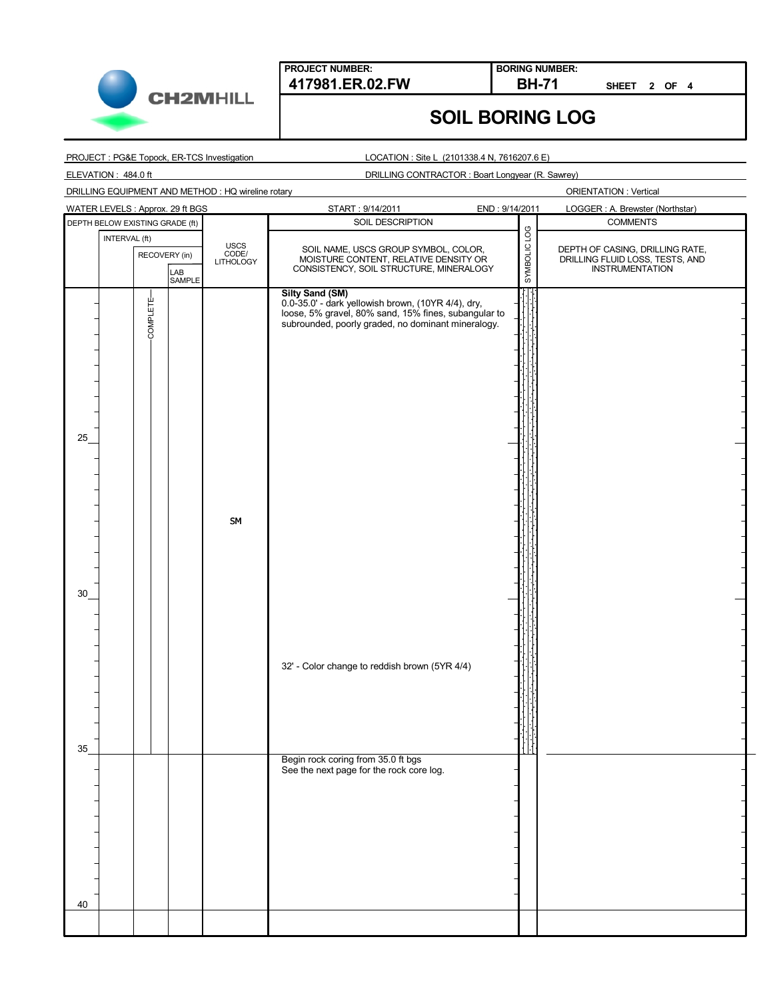

**BORING NUMBER:**

**SHEET 2 OF 4**

## **SOIL BORING LOG**

PROJECT : PG&E Topock, ER-TCS Investigation

LOCATION : Site L (2101338.4 N, 7616207.6 E)

ELEVATION : 484.0 ft

DRILLING CONTRACTOR : Boart Longyear (R. Sawrey)

DRILLING EQUIPMENT AND METHOD : HQ wireline rotary

|                                                 | <b>WATER LEVELS: Approx. 29 ft BGS</b> |                            | START: 9/14/2011                                                                                                                                                                           | END: 9/14/2011 | LOGGER: A. Brewster (Northstar)                                                       |
|-------------------------------------------------|----------------------------------------|----------------------------|--------------------------------------------------------------------------------------------------------------------------------------------------------------------------------------------|----------------|---------------------------------------------------------------------------------------|
|                                                 | DEPTH BELOW EXISTING GRADE (ft)        |                            | SOIL DESCRIPTION                                                                                                                                                                           | SYMBOLIC LOG   | <b>COMMENTS</b>                                                                       |
| INTERVAL (ft)<br>RECOVERY (in)<br>LAB<br>SAMPLE |                                        | USCS<br>CODE/<br>LITHOLOGY | SOIL NAME, USCS GROUP SYMBOL, COLOR,<br>MOISTURE CONTENT, RELATIVE DENSITY OR<br>CONSISTENCY, SOIL STRUCTURE, MINERALOGY                                                                   |                | DEPTH OF CASING, DRILLING RATE,<br>DRILLING FLUID LOSS, TESTS, AND<br>INSTRUMENTATION |
| 25                                              | COMPLETE-                              | SM                         | <b>Silty Sand (SM)</b><br>0.0-35.0' - dark yellowish brown, (10YR 4/4), dry,<br>loose, 5% gravel, 80% sand, 15% fines, subangular to<br>subrounded, poorly graded, no dominant mineralogy. |                |                                                                                       |
| 30                                              |                                        |                            |                                                                                                                                                                                            |                |                                                                                       |
| 35                                              |                                        |                            | 32' - Color change to reddish brown (5YR 4/4)                                                                                                                                              |                |                                                                                       |
|                                                 |                                        |                            | Begin rock coring from 35.0 ft bgs<br>See the next page for the rock core log.                                                                                                             |                |                                                                                       |
| 40                                              |                                        |                            |                                                                                                                                                                                            |                |                                                                                       |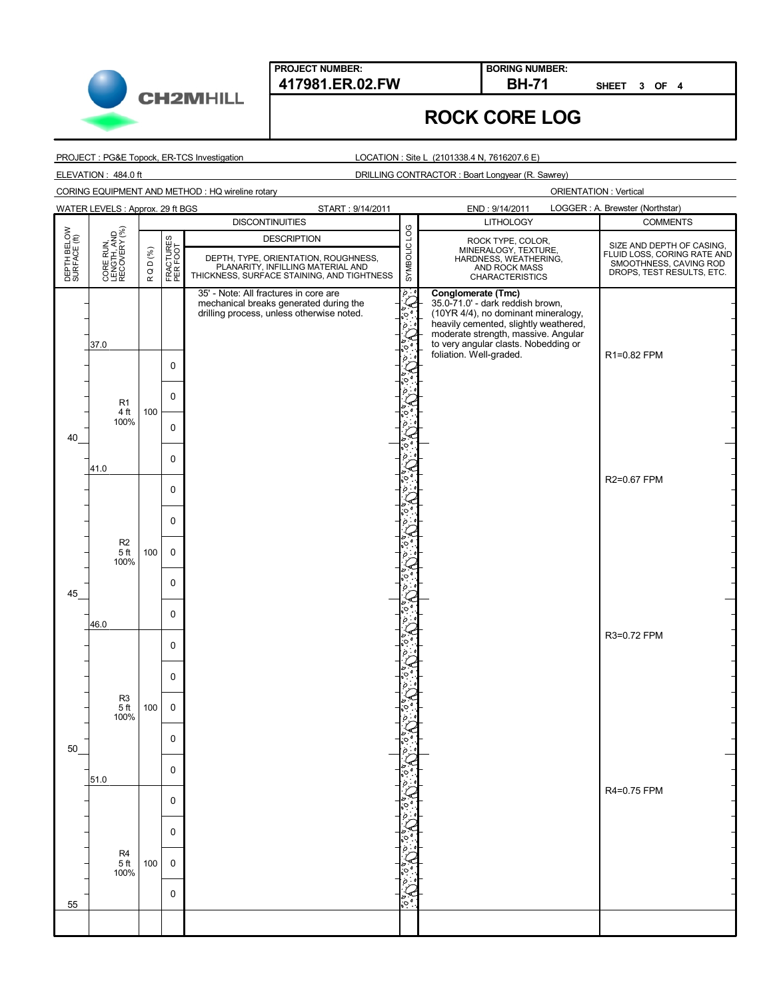

**BORING NUMBER:**

**SHEET 3 OF 4**

## **ROCK CORE LOG**

PROJECT : PG&E Topock, ER-TCS Investigation

CORING EQUIPMENT AND METHOD : HQ wireline rotary

LOCATION : Site L (2101338.4 N, 7616207.6 E)

ELEVATION : 484.0 ft DRILLING CONTRACTOR : Boart Longyear (R. Sawrey)

|                             | WATER LEVELS : Approx. 29 ft BGS          |        |                       | START: 9/14/2011                                                                                                                              |                  | END: 9/14/2011                                                                                                                                                                                                                                   | LOGGER: A. Brewster (Northstar)                                                                                 |
|-----------------------------|-------------------------------------------|--------|-----------------------|-----------------------------------------------------------------------------------------------------------------------------------------------|------------------|--------------------------------------------------------------------------------------------------------------------------------------------------------------------------------------------------------------------------------------------------|-----------------------------------------------------------------------------------------------------------------|
|                             |                                           |        |                       | <b>DISCONTINUITIES</b>                                                                                                                        |                  | <b>LITHOLOGY</b>                                                                                                                                                                                                                                 | <b>COMMENTS</b>                                                                                                 |
| DEPTH BELOW<br>SURFACE (ft) | CORE RUN,<br>LENGTH, AND<br>RECOVERY (%)  | RQD(%) | FRACTURES<br>PER FOOT | <b>DESCRIPTION</b><br>DEPTH, TYPE, ORIENTATION, ROUGHNESS,<br>PLANARITY, INFILLING MATERIAL AND<br>THICKNESS, SURFACE STAINING, AND TIGHTNESS | SYMBOLIC LOG     | ROCK TYPE, COLOR,<br>MINERALOGY, TEXTURE,<br>HARDNESS, WEATHERING,<br>AND ROCK MASS<br><b>CHARACTERISTICS</b>                                                                                                                                    | SIZE AND DEPTH OF CASING,<br>FLUID LOSS, CORING RATE AND<br>SMOOTHNESS, CAVING ROD<br>DROPS, TEST RESULTS, ETC. |
| 40                          | 37.0<br>R <sub>1</sub><br>4 ft<br>100%    | 100    | 0<br>$\mathbf 0$<br>0 | 35' - Note: All fractures in core are<br>mechanical breaks generated during the<br>drilling process, unless otherwise noted.                  | $\circ$ .<br>''ం | Conglomerate (Tmc)<br>35.0-71.0' - dark reddish brown,<br>(10YR 4/4), no dominant mineralogy,<br>heavily cemented, slightly weathered,<br>moderate strength, massive. Angular<br>to very angular clasts. Nobedding or<br>foliation. Well-graded. | R1=0.82 FPM                                                                                                     |
|                             | 41.0                                      |        | 0<br>$\mathbf 0$      |                                                                                                                                               |                  |                                                                                                                                                                                                                                                  | R2=0.67 FPM                                                                                                     |
|                             | R <sub>2</sub><br>5 <sup>ft</sup><br>100% | 100    | 0<br>$\mathbf 0$<br>0 |                                                                                                                                               |                  |                                                                                                                                                                                                                                                  |                                                                                                                 |
| 45                          | 46.0                                      |        | 0<br>$\mathbf 0$      |                                                                                                                                               |                  |                                                                                                                                                                                                                                                  | R3=0.72 FPM                                                                                                     |
|                             | R <sub>3</sub><br>5 <sup>ft</sup><br>100% | 100    | 0<br>$\mathbf 0$<br>0 |                                                                                                                                               |                  |                                                                                                                                                                                                                                                  |                                                                                                                 |
| 50                          | 51.0                                      |        | $\Omega$              |                                                                                                                                               |                  |                                                                                                                                                                                                                                                  | R4=0.75 FPM                                                                                                     |
|                             | R4<br>5 <sup>ft</sup><br>100%             | 100    | 0<br>0<br>$\mathbf 0$ |                                                                                                                                               |                  |                                                                                                                                                                                                                                                  |                                                                                                                 |
| 55                          |                                           |        | 0                     |                                                                                                                                               |                  |                                                                                                                                                                                                                                                  |                                                                                                                 |